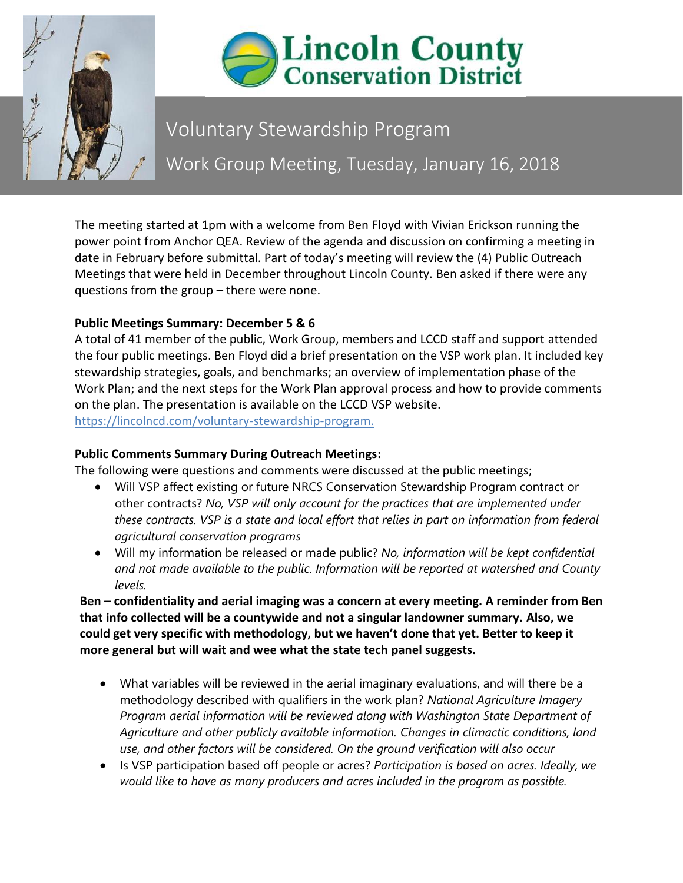



# Voluntary Stewardship Program Work Group Meeting, Tuesday, January 16, 2018

The meeting started at 1pm with a welcome from Ben Floyd with Vivian Erickson running the power point from Anchor QEA. Review of the agenda and discussion on confirming a meeting in date in February before submittal. Part of today's meeting will review the (4) Public Outreach Meetings that were held in December throughout Lincoln County. Ben asked if there were any questions from the group – there were none.

## **Public Meetings Summary: December 5 & 6**

A total of 41 member of the public, Work Group, members and LCCD staff and support attended the four public meetings. Ben Floyd did a brief presentation on the VSP work plan. It included key stewardship strategies, goals, and benchmarks; an overview of implementation phase of the Work Plan; and the next steps for the Work Plan approval process and how to provide comments on the plan. The presentation is available on the LCCD VSP website. https://lincolncd.com/voluntary-stewardship-program.

# **Public Comments Summary During Outreach Meetings:**

The following were questions and comments were discussed at the public meetings;

- Will VSP affect existing or future NRCS Conservation Stewardship Program contract or other contracts? *No, VSP will only account for the practices that are implemented under these contracts. VSP is a state and local effort that relies in part on information from federal agricultural conservation programs*
- Will my information be released or made public? *No, information will be kept confidential and not made available to the public. Information will be reported at watershed and County levels.*

**Ben – confidentiality and aerial imaging was a concern at every meeting. A reminder from Ben that info collected will be a countywide and not a singular landowner summary. Also, we could get very specific with methodology, but we haven't done that yet. Better to keep it more general but will wait and wee what the state tech panel suggests.** 

- What variables will be reviewed in the aerial imaginary evaluations, and will there be a methodology described with qualifiers in the work plan? *National Agriculture Imagery Program aerial information will be reviewed along with Washington State Department of Agriculture and other publicly available information. Changes in climactic conditions, land use, and other factors will be considered. On the ground verification will also occur*
- Is VSP participation based off people or acres? *Participation is based on acres. Ideally, we would like to have as many producers and acres included in the program as possible.*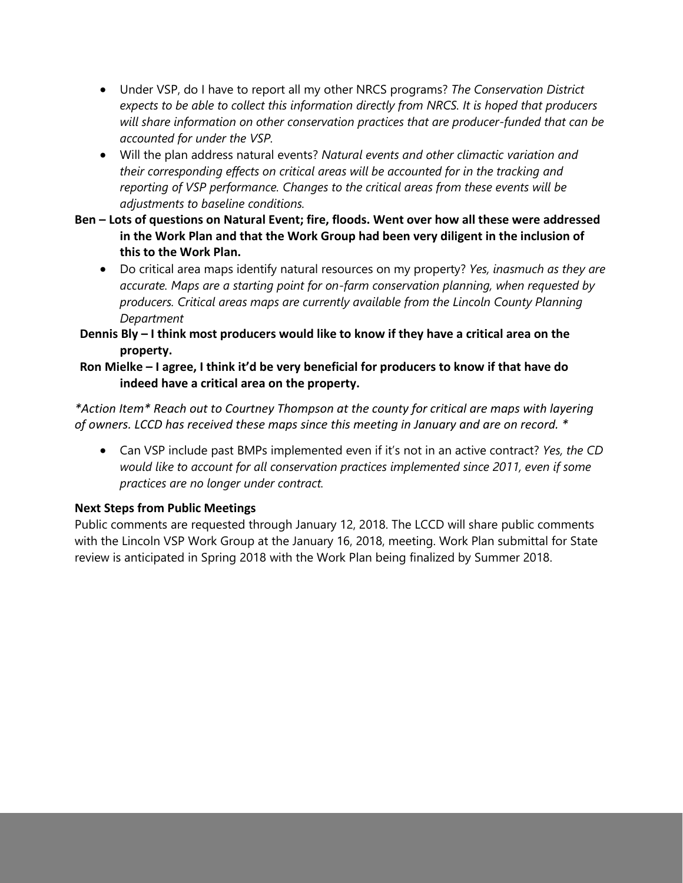- Under VSP, do I have to report all my other NRCS programs? *The Conservation District expects to be able to collect this information directly from NRCS. It is hoped that producers will share information on other conservation practices that are producer-funded that can be accounted for under the VSP.*
- Will the plan address natural events? *Natural events and other climactic variation and their corresponding effects on critical areas will be accounted for in the tracking and reporting of VSP performance. Changes to the critical areas from these events will be adjustments to baseline conditions.*
- **Ben – Lots of questions on Natural Event; fire, floods. Went over how all these were addressed in the Work Plan and that the Work Group had been very diligent in the inclusion of this to the Work Plan.**
	- Do critical area maps identify natural resources on my property? *Yes, inasmuch as they are accurate. Maps are a starting point for on-farm conservation planning, when requested by producers. Critical areas maps are currently available from the Lincoln County Planning Department*
- **Dennis Bly – I think most producers would like to know if they have a critical area on the property.**

#### **Ron Mielke – I agree, I think it'd be very beneficial for producers to know if that have do indeed have a critical area on the property.**

*\*Action Item\* Reach out to Courtney Thompson at the county for critical are maps with layering of owners. LCCD has received these maps since this meeting in January and are on record. \**

• Can VSP include past BMPs implemented even if it's not in an active contract? *Yes, the CD would like to account for all conservation practices implemented since 2011, even if some practices are no longer under contract.*

# **Next Steps from Public Meetings**

Public comments are requested through January 12, 2018. The LCCD will share public comments with the Lincoln VSP Work Group at the January 16, 2018, meeting. Work Plan submittal for State review is anticipated in Spring 2018 with the Work Plan being finalized by Summer 2018.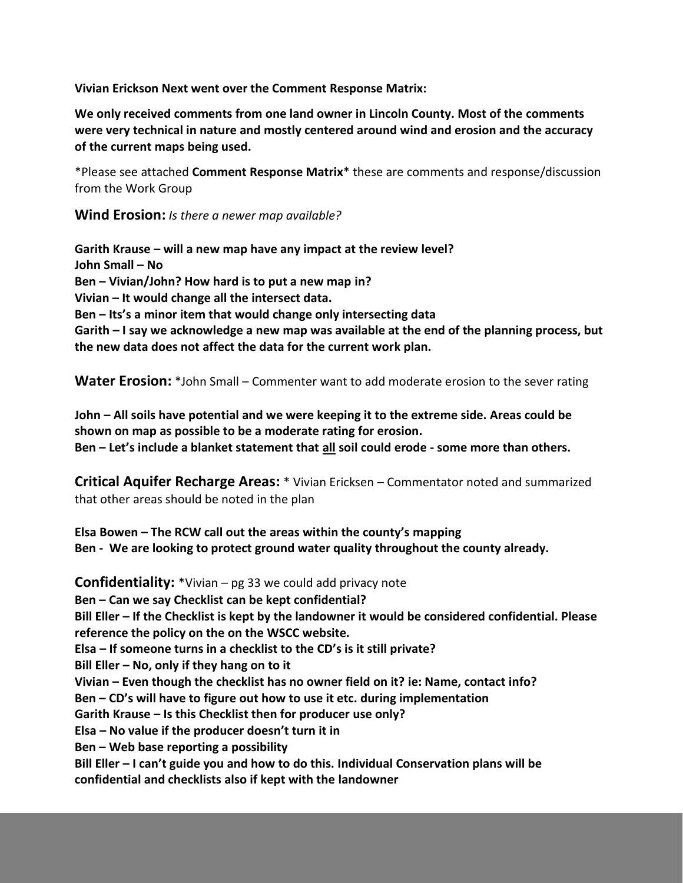**Vivian Erickson Next went over the Comment Response Matrix:**

**We only received comments from one land owner in Lincoln County. Most of the comments were very technical in nature and mostly centered around wind and erosion and the accuracy of the current maps being used.**

\*Please see attached **Comment Response Matrix**\* these are comments and response/discussion from the Work Group

**Wind Erosion:** *Is there a newer map available?*

**Garith Krause – will a new map have any impact at the review level? John Small – No Ben – Vivian/John? How hard is to put a new map in? Vivian – It would change all the intersect data. Ben – Its's a minor item that would change only intersecting data Garith – I say we acknowledge a new map was available at the end of the planning process, but the new data does not affect the data for the current work plan.**

**Water Erosion:** \*John Small – Commenter want to add moderate erosion to the sever rating

**John – All soils have potential and we were keeping it to the extreme side. Areas could be shown on map as possible to be a moderate rating for erosion. Ben – Let's include a blanket statement that all soil could erode - some more than others.**

**Critical Aquifer Recharge Areas:** \* Vivian Ericksen – Commentator noted and summarized that other areas should be noted in the plan

**Elsa Bowen – The RCW call out the areas within the county's mapping Ben - We are looking to protect ground water quality throughout the county already.**

**Confidentiality:** \*Vivian – pg 33 we could add privacy note **Ben – Can we say Checklist can be kept confidential? Bill Eller – If the Checklist is kept by the landowner it would be considered confidential. Please reference the policy on the on the WSCC website. Elsa – If someone turns in a checklist to the CD's is it still private? Bill Eller – No, only if they hang on to it Vivian – Even though the checklist has no owner field on it? ie: Name, contact info? Ben – CD's will have to figure out how to use it etc. during implementation Garith Krause – Is this Checklist then for producer use only? Elsa – No value if the producer doesn't turn it in Ben – Web base reporting a possibility Bill Eller – I can't guide you and how to do this. Individual Conservation plans will be confidential and checklists also if kept with the landowner**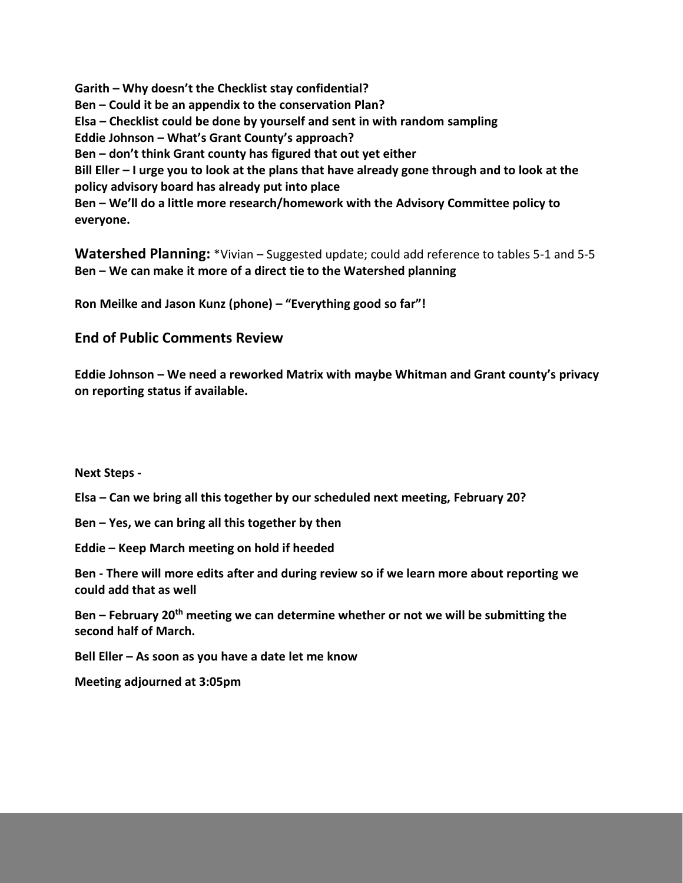**Garith – Why doesn't the Checklist stay confidential? Ben – Could it be an appendix to the conservation Plan? Elsa – Checklist could be done by yourself and sent in with random sampling Eddie Johnson – What's Grant County's approach? Ben – don't think Grant county has figured that out yet either Bill Eller – I urge you to look at the plans that have already gone through and to look at the policy advisory board has already put into place Ben – We'll do a little more research/homework with the Advisory Committee policy to everyone.**

**Watershed Planning:** \*Vivian – Suggested update; could add reference to tables 5-1 and 5-5 **Ben – We can make it more of a direct tie to the Watershed planning**

**Ron Meilke and Jason Kunz (phone) – "Everything good so far"!**

**End of Public Comments Review**

**Eddie Johnson – We need a reworked Matrix with maybe Whitman and Grant county's privacy on reporting status if available.**

**Next Steps -** 

**Elsa – Can we bring all this together by our scheduled next meeting, February 20?**

**Ben – Yes, we can bring all this together by then**

**Eddie – Keep March meeting on hold if heeded**

**Ben - There will more edits after and during review so if we learn more about reporting we could add that as well**

**Ben – February 20th meeting we can determine whether or not we will be submitting the second half of March.**

**Bell Eller – As soon as you have a date let me know**

**Meeting adjourned at 3:05pm**